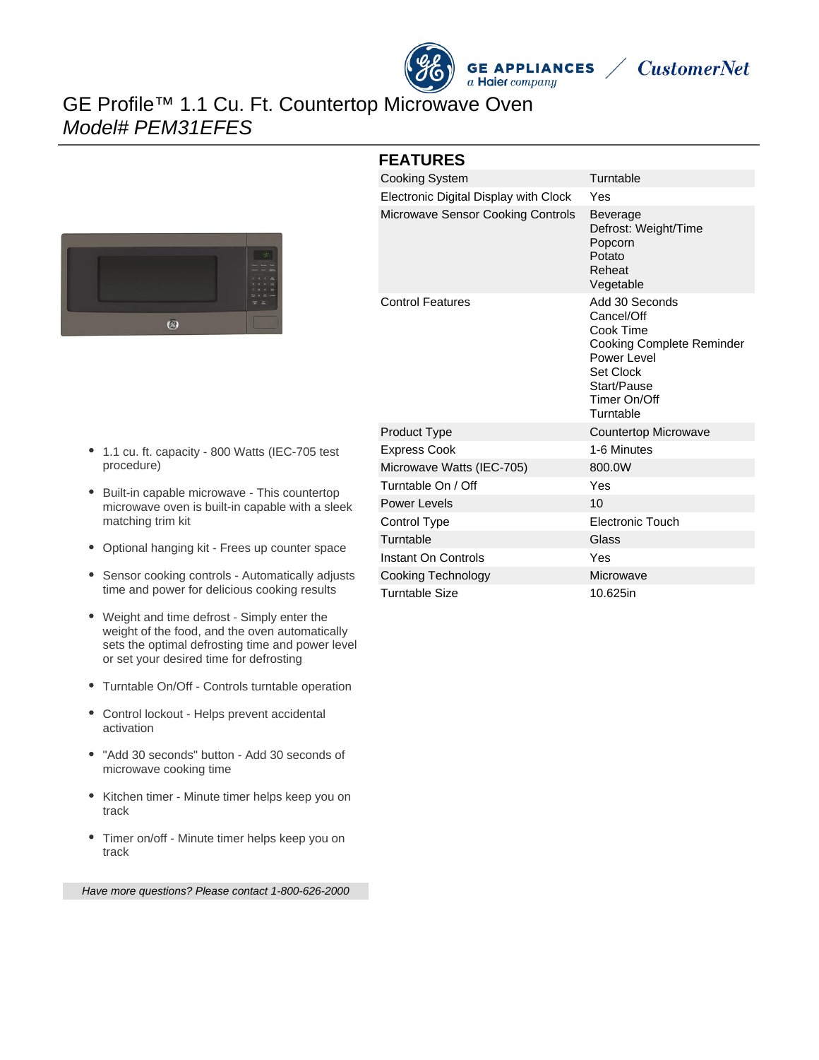



# GE Profile™ 1.1 Cu. Ft. Countertop Microwave Oven Model# PEM31EFES



#### **FEATURES**

| <b>Cooking System</b>                    | Turntable                                                                                                                                             |
|------------------------------------------|-------------------------------------------------------------------------------------------------------------------------------------------------------|
| Electronic Digital Display with Clock    | Yes                                                                                                                                                   |
| <b>Microwave Sensor Cooking Controls</b> | <b>Beverage</b><br>Defrost: Weight/Time<br>Popcorn<br>Potato<br>Reheat<br>Vegetable                                                                   |
| <b>Control Features</b>                  | Add 30 Seconds<br>Cancel/Off<br>Cook Time<br>Cooking Complete Reminder<br>Power Level<br><b>Set Clock</b><br>Start/Pause<br>Timer On/Off<br>Turntable |
| <b>Product Type</b>                      | Countertop Microwave                                                                                                                                  |
| <b>Express Cook</b>                      | 1-6 Minutes                                                                                                                                           |
| Microwave Watts (IEC-705)                | 800.0W                                                                                                                                                |
| Turntable On / Off                       | Yes                                                                                                                                                   |
| <b>Power Levels</b>                      | 10                                                                                                                                                    |
| Control Type                             | <b>Electronic Touch</b>                                                                                                                               |
| Turntable                                | Glass                                                                                                                                                 |
| Instant On Controls                      | Yes                                                                                                                                                   |
| Cooking Technology                       | Microwave                                                                                                                                             |
| <b>Turntable Size</b>                    | 10.625in                                                                                                                                              |

- 1.1 cu. ft. capacity 800 Watts (IEC-705 test procedure)
- Built-in capable microwave This countertop microwave oven is built-in capable with a sleek matching trim kit
- Optional hanging kit Frees up counter space
- Sensor cooking controls Automatically adjusts time and power for delicious cooking results
- Weight and time defrost Simply enter the weight of the food, and the oven automatically sets the optimal defrosting time and power level or set your desired time for defrosting
- Turntable On/Off Controls turntable operation
- Control lockout Helps prevent accidental activation
- "Add 30 seconds" button Add 30 seconds of microwave cooking time
- Kitchen timer Minute timer helps keep you on track
- Timer on/off Minute timer helps keep you on track

Have more questions? Please contact 1-800-626-2000